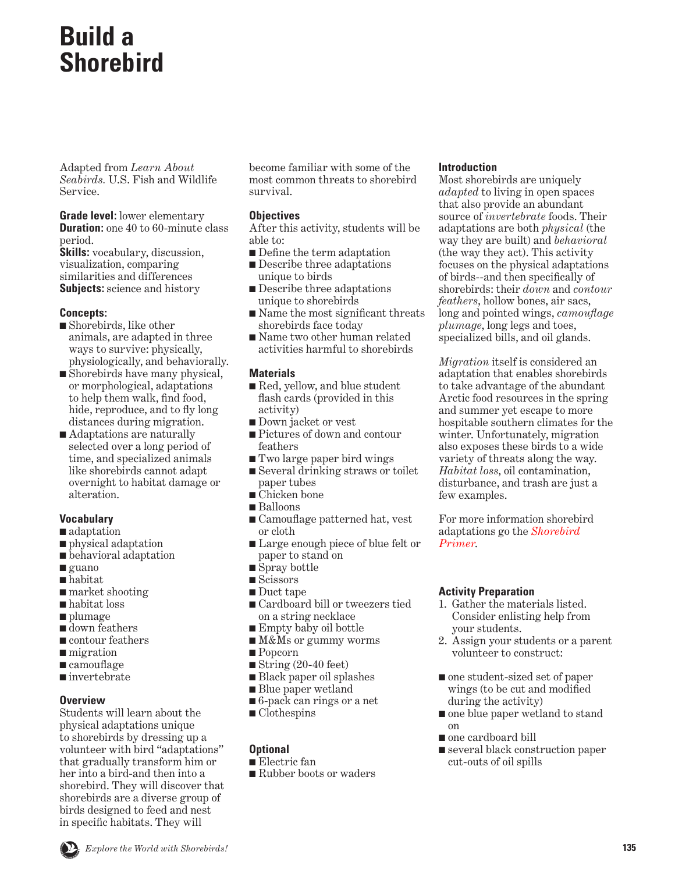## **Build a Shorebird**

Adapted from *Learn About Seabirds.* U.S. Fish and Wildlife Service.

**Grade level:** lower elementary **Duration:** one 40 to 60-minute class period.

**Skills:** vocabulary, discussion, visualization, comparing similarities and differences **Subjects:** science and history

#### **Concepts:**

- Shorebirds, like other animals, are adapted in three ways to survive: physically, physiologically, and behaviorally.
- Shorebirds have many physical, or morphological, adaptations to help them walk, find food, hide, reproduce, and to fly long distances during migration.
- Adaptations are naturally selected over a long period of time, and specialized animals like shorebirds cannot adapt overnight to habitat damage or alteration.

#### **Vocabulary**

- adaptation
- physical adaptation
- behavioral adaptation
- guano
- habitat
- market shooting
- habitat loss
- plumage
- down feathers
- contour feathers
- migration
- camouflage
- invertebrate

#### **Overview**

Students will learn about the physical adaptations unique to shorebirds by dressing up a volunteer with bird "adaptations" that gradually transform him or her into a bird-and then into a shorebird. They will discover that shorebirds are a diverse group of birds designed to feed and nest in specific habitats. They will

become familiar with some of the most common threats to shorebird survival.

#### **Objectives**

After this activity, students will be able to:

- Define the term adaptation
- Describe three adaptations unique to birds
- Describe three adaptations unique to shorebirds
- Name the most significant threats shorebirds face today
- Name two other human related activities harmful to shorebirds

#### **Materials**

- Red, yellow, and blue student flash cards (provided in this activity)
- Down jacket or vest
- Pictures of down and contour feathers
- Two large paper bird wings
- Several drinking straws or toilet paper tubes
- Chicken bone
- Balloons
- Camouflage patterned hat, vest or cloth
- Large enough piece of blue felt or paper to stand on
- Spray bottle
- Scissors
- Duct tape
- Cardboard bill or tweezers tied on a string necklace
- Empty baby oil bottle
- M&Ms or gummy worms
- Popcorn
- $\blacksquare$  String (20-40 feet)
- Black paper oil splashes
- Blue paper wetland
- 6-pack can rings or a net
- Clothespins

#### **Optional**

■ Electric fan

■ Rubber boots or waders

#### **Introduction**

Most shorebirds are uniquely *adapted* to living in open spaces that also provide an abundant source of *invertebrate* foods. Their adaptations are both *physical* (the way they are built) and *behavioral* (the way they act). This activity focuses on the physical adaptations of birds--and then specifically of shorebirds: their *down* and *contour feathers*, hollow bones, air sacs, long and pointed wings, *camouflage plumage*, long legs and toes, specialized bills, and oil glands.

*Migration* itself is considered an adaptation that enables shorebirds to take advantage of the abundant Arctic food resources in the spring and summer yet escape to more hospitable southern climates for the winter. Unfortunately, migration also exposes these birds to a wide variety of threats along the way. *Habitat loss*, oil contamination, disturbance, and trash are just a few examples.

For more information shorebird adaptations go the *Shorebird Primer*.

#### **Activity Preparation**

- 1. Gather the materials listed. Consider enlisting help from your students.
- 2. Assign your students or a parent volunteer to construct:
- one student-sized set of paper wings (to be cut and modified during the activity)
- one blue paper wetland to stand on
- one cardboard bill
- several black construction paper cut-outs of oil spills

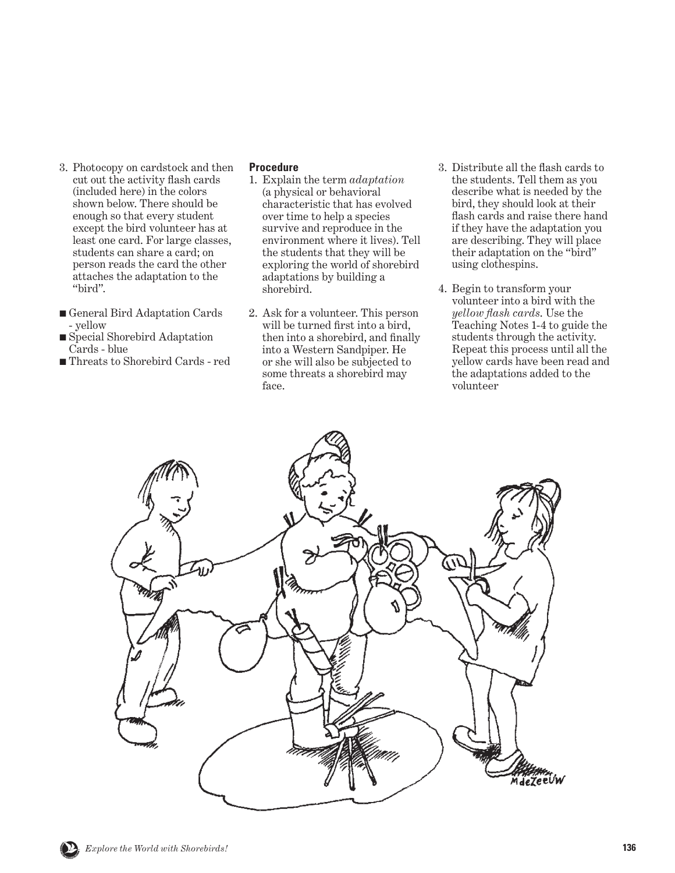- 3. Photocopy on cardstock and then cut out the activity flash cards (included here) in the colors shown below. There should be enough so that every student except the bird volunteer has at least one card. For large classes, students can share a card; on person reads the card the other attaches the adaptation to the "bird".
- General Bird Adaptation Cards - yellow
- Special Shorebird Adaptation Cards - blue
- Threats to Shorebird Cards red

#### **Procedure**

- 1. Explain the term *adaptation* (a physical or behavioral characteristic that has evolved over time to help a species survive and reproduce in the environment where it lives). Tell the students that they will be exploring the world of shorebird adaptations by building a shorebird.
- 2. Ask for a volunteer. This person will be turned first into a bird, then into a shorebird, and finally into a Western Sandpiper. He or she will also be subjected to some threats a shorebird may face.
- 3. Distribute all the flash cards to the students. Tell them as you describe what is needed by the bird, they should look at their flash cards and raise there hand if they have the adaptation you are describing. They will place their adaptation on the "bird" using clothespins.
- 4. Begin to transform your volunteer into a bird with the *yellow flash cards*. Use the Teaching Notes 1-4 to guide the students through the activity. Repeat this process until all the yellow cards have been read and the adaptations added to the volunteer

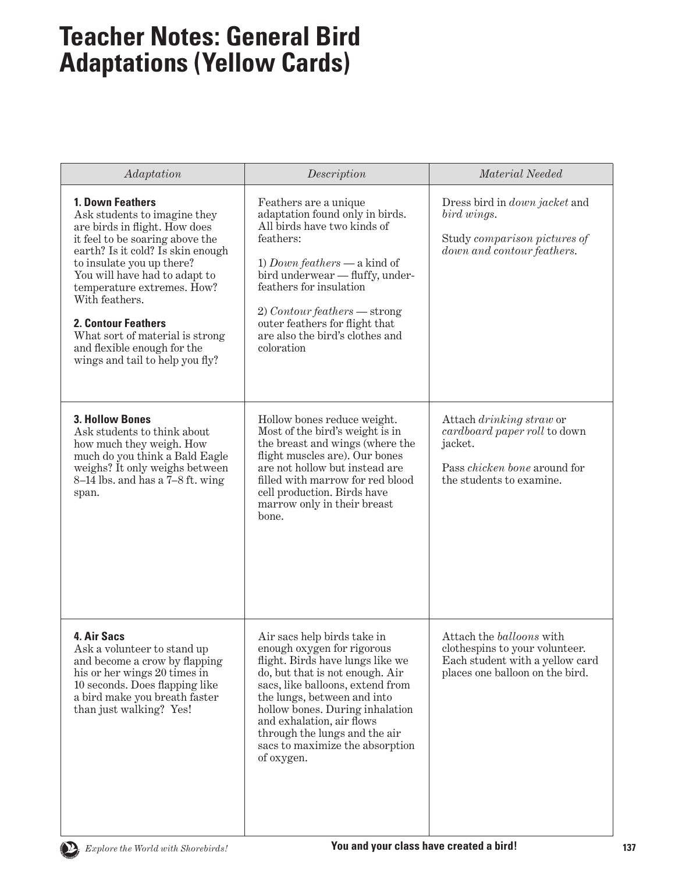## **Teacher Notes: General Bird Adaptations (Yellow Cards)**

| Adaptation                                                                                                                                                                                                                                                                                                                                                                                                 | Description                                                                                                                                                                                                                                                                                                                                           | Material Needed                                                                                                                        |
|------------------------------------------------------------------------------------------------------------------------------------------------------------------------------------------------------------------------------------------------------------------------------------------------------------------------------------------------------------------------------------------------------------|-------------------------------------------------------------------------------------------------------------------------------------------------------------------------------------------------------------------------------------------------------------------------------------------------------------------------------------------------------|----------------------------------------------------------------------------------------------------------------------------------------|
| 1. Down Feathers<br>Ask students to imagine they<br>are birds in flight. How does<br>it feel to be soaring above the<br>earth? Is it cold? Is skin enough<br>to insulate you up there?<br>You will have had to adapt to<br>temperature extremes. How?<br>With feathers.<br><b>2. Contour Feathers</b><br>What sort of material is strong<br>and flexible enough for the<br>wings and tail to help you fly? | Feathers are a unique<br>adaptation found only in birds.<br>All birds have two kinds of<br>feathers:<br>1) Down feathers — a kind of<br>bird underwear - fluffy, under-<br>feathers for insulation<br>$2) Contour features - strong$<br>outer feathers for flight that<br>are also the bird's clothes and<br>coloration                               | Dress bird in <i>down jacket</i> and<br>bird wings.<br>Study comparison pictures of<br>down and contour feathers.                      |
| <b>3. Hollow Bones</b><br>Ask students to think about<br>how much they weigh. How<br>much do you think a Bald Eagle<br>weighs? It only weighs between<br>8–14 lbs. and has a 7–8 ft. wing<br>span.                                                                                                                                                                                                         | Hollow bones reduce weight.<br>Most of the bird's weight is in<br>the breast and wings (where the<br>flight muscles are). Our bones<br>are not hollow but instead are<br>filled with marrow for red blood<br>cell production. Birds have<br>marrow only in their breast<br>bone.                                                                      | Attach drinking straw or<br>cardboard paper roll to down<br>jacket.<br>Pass <i>chicken</i> bone around for<br>the students to examine. |
| 4. Air Sacs<br>Ask a volunteer to stand up<br>and become a crow by flapping<br>his or her wings 20 times in<br>10 seconds. Does flapping like<br>a bird make you breath faster<br>than just walking? Yes!                                                                                                                                                                                                  | Air sacs help birds take in<br>enough oxygen for rigorous<br>flight. Birds have lungs like we<br>do, but that is not enough. Air<br>sacs, like balloons, extend from<br>the lungs, between and into<br>hollow bones. During inhalation<br>and exhalation, air flows<br>through the lungs and the air<br>sacs to maximize the absorption<br>of oxygen. | Attach the balloons with<br>clothespins to your volunteer.<br>Each student with a yellow card<br>places one balloon on the bird.       |

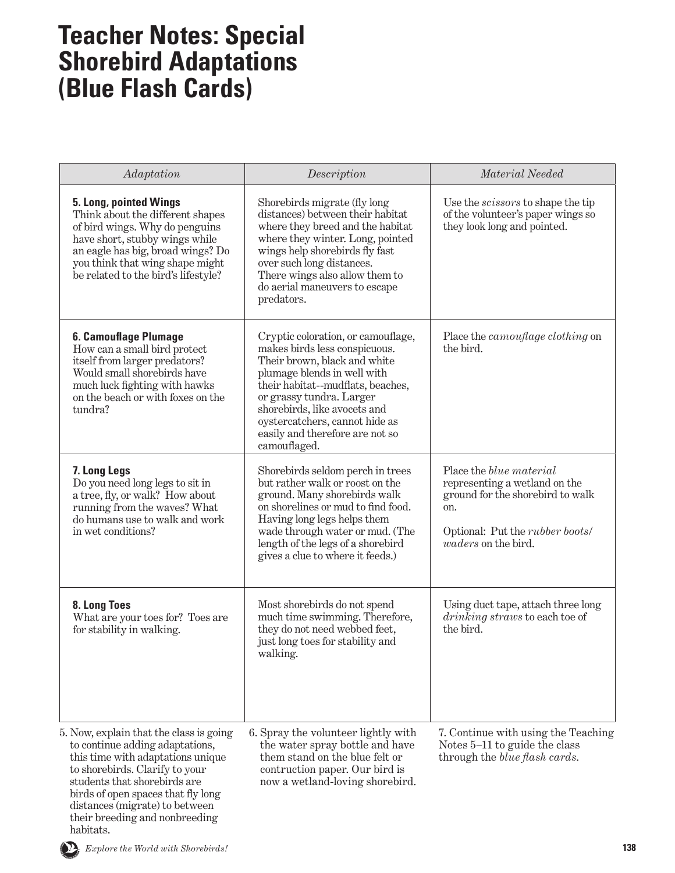## **Teacher Notes: Special Shorebird Adaptations (Blue Flash Cards)**

| Adaptation                                                                                                                                                                                                                                    | Description                                                                                                                                                                                                                                                                                                              | Material Needed                                                                                                                                                                     |
|-----------------------------------------------------------------------------------------------------------------------------------------------------------------------------------------------------------------------------------------------|--------------------------------------------------------------------------------------------------------------------------------------------------------------------------------------------------------------------------------------------------------------------------------------------------------------------------|-------------------------------------------------------------------------------------------------------------------------------------------------------------------------------------|
| 5. Long, pointed Wings<br>Think about the different shapes<br>of bird wings. Why do penguins<br>have short, stubby wings while<br>an eagle has big, broad wings? Do<br>you think that wing shape might<br>be related to the bird's lifestyle? | Shorebirds migrate (fly long<br>distances) between their habitat<br>where they breed and the habitat<br>where they winter. Long, pointed<br>wings help shorebirds fly fast<br>over such long distances.<br>There wings also allow them to<br>do aerial maneuvers to escape<br>predators.                                 | Use the <i>scissors</i> to shape the tip<br>of the volunteer's paper wings so<br>they look long and pointed.                                                                        |
| 6. Camouflage Plumage<br>How can a small bird protect<br>itself from larger predators?<br>Would small shorebirds have<br>much luck fighting with hawks<br>on the beach or with foxes on the<br>tundra?                                        | Cryptic coloration, or camouflage,<br>makes birds less conspicuous.<br>Their brown, black and white<br>plumage blends in well with<br>their habitat--mudflats, beaches,<br>or grassy tundra. Larger<br>shorebirds, like avocets and<br>oystercatchers, cannot hide as<br>easily and therefore are not so<br>camouflaged. | Place the <i>camouflage clothing</i> on<br>the bird.                                                                                                                                |
| 7. Long Legs<br>Do you need long legs to sit in<br>a tree, fly, or walk? How about<br>running from the waves? What<br>do humans use to walk and work<br>in wet conditions?                                                                    | Shorebirds seldom perch in trees<br>but rather walk or roost on the<br>ground. Many shorebirds walk<br>on shorelines or mud to find food.<br>Having long legs helps them<br>wade through water or mud. (The<br>length of the legs of a shorebird<br>gives a clue to where it feeds.)                                     | Place the <i>blue material</i><br>representing a wetland on the<br>ground for the shorebird to walk<br>on.<br>Optional: Put the <i>rubber boots</i> /<br><i>waders</i> on the bird. |
| 8. Long Toes<br>What are your toes for? Toes are<br>for stability in walking.                                                                                                                                                                 | Most shorebirds do not spend<br>much time swimming. Therefore,<br>they do not need webbed feet,<br>just long toes for stability and<br>walking.                                                                                                                                                                          | Using duct tape, attach three long<br>drinking straws to each toe of<br>the bird.                                                                                                   |
| 5. Now, explain that the class is going<br>to continue adding adaptations,<br>this time with adaptations unique<br>to shorebirds. Clarify to your<br>students that shorebirds are<br>birds of open spaces that fly long                       | 6. Spray the volunteer lightly with<br>the water spray bottle and have<br>them stand on the blue felt or<br>contruction paper. Our bird is<br>now a wetland-loving shorebird.                                                                                                                                            | 7. Continue with using the Teaching<br>Notes 5-11 to guide the class<br>through the <i>blue flash cards</i> .                                                                       |



habitats.

distances (migrate) to between their breeding and nonbreeding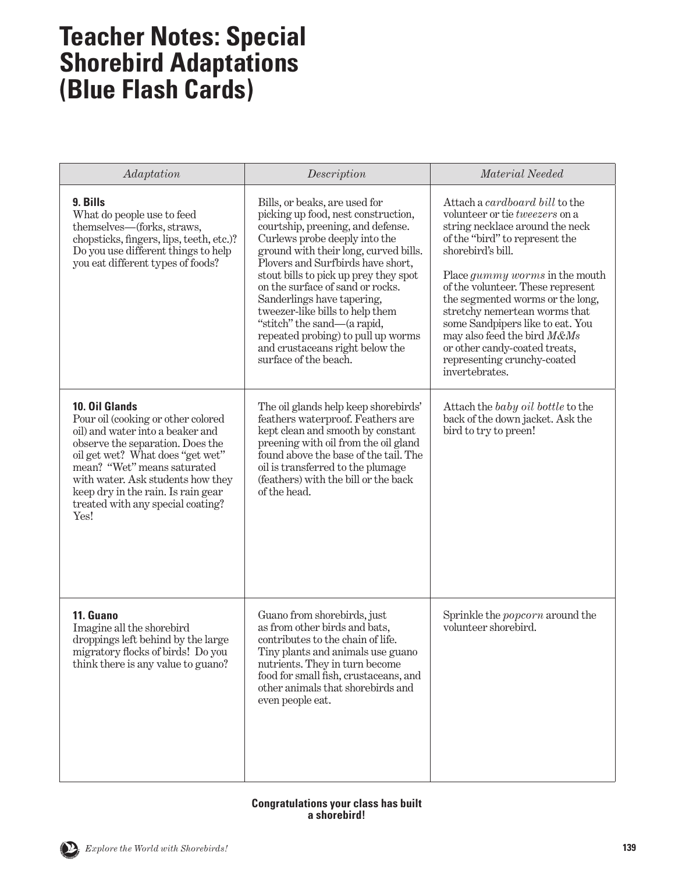## **Teacher Notes: Special Shorebird Adaptations (Blue Flash Cards)**

| Adaptation                                                                                                                                                                                                                                                                                                              | Description                                                                                                                                                                                                                                                                                                                                                                                                                                                                                             | Material Needed                                                                                                                                                                                                                                                                                                                                                                                                                                                    |
|-------------------------------------------------------------------------------------------------------------------------------------------------------------------------------------------------------------------------------------------------------------------------------------------------------------------------|---------------------------------------------------------------------------------------------------------------------------------------------------------------------------------------------------------------------------------------------------------------------------------------------------------------------------------------------------------------------------------------------------------------------------------------------------------------------------------------------------------|--------------------------------------------------------------------------------------------------------------------------------------------------------------------------------------------------------------------------------------------------------------------------------------------------------------------------------------------------------------------------------------------------------------------------------------------------------------------|
| 9. Bills<br>What do people use to feed<br>themselves—(forks, straws,<br>chopsticks, fingers, lips, teeth, etc.)?<br>Do you use different things to help<br>you eat different types of foods?                                                                                                                            | Bills, or beaks, are used for<br>picking up food, nest construction,<br>courtship, preening, and defense.<br>Curlews probe deeply into the<br>ground with their long, curved bills.<br>Plovers and Surfbirds have short,<br>stout bills to pick up prey they spot<br>on the surface of sand or rocks.<br>Sanderlings have tapering,<br>tweezer-like bills to help them<br>"stitch" the sand—(a rapid,<br>repeated probing) to pull up worms<br>and crustaceans right below the<br>surface of the beach. | Attach a cardboard bill to the<br>volunteer or tie tweezers on a<br>string necklace around the neck<br>of the "bird" to represent the<br>shorebird's bill.<br>Place <i>gummy worms</i> in the mouth<br>of the volunteer. These represent<br>the segmented worms or the long,<br>stretchy nemertean worms that<br>some Sandpipers like to eat. You<br>may also feed the bird M&Ms<br>or other candy-coated treats,<br>representing crunchy-coated<br>invertebrates. |
| 10. Oil Glands<br>Pour oil (cooking or other colored<br>oil) and water into a beaker and<br>observe the separation. Does the<br>oil get wet? What does "get wet"<br>mean? "Wet" means saturated<br>with water. Ask students how they<br>keep dry in the rain. Is rain gear<br>treated with any special coating?<br>Yes! | The oil glands help keep shorebirds'<br>feathers waterproof. Feathers are<br>kept clean and smooth by constant<br>preening with oil from the oil gland<br>found above the base of the tail. The<br>oil is transferred to the plumage<br>(feathers) with the bill or the back<br>of the head.                                                                                                                                                                                                            | Attach the baby oil bottle to the<br>back of the down jacket. Ask the<br>bird to try to preen!                                                                                                                                                                                                                                                                                                                                                                     |
| 11. Guano<br>Imagine all the shorebird<br>droppings left behind by the large<br>migratory flocks of birds! Do you<br>think there is any value to guano?                                                                                                                                                                 | Guano from shorebirds, just<br>as from other birds and bats,<br>contributes to the chain of life.<br>Tiny plants and animals use guano<br>nutrients. They in turn become<br>food for small fish, crustaceans, and<br>other animals that shorebirds and<br>even people eat.                                                                                                                                                                                                                              | Sprinkle the <i>popcorn</i> around the<br>volunteer shorebird.                                                                                                                                                                                                                                                                                                                                                                                                     |

#### **Congratulations your class has built a shorebird!**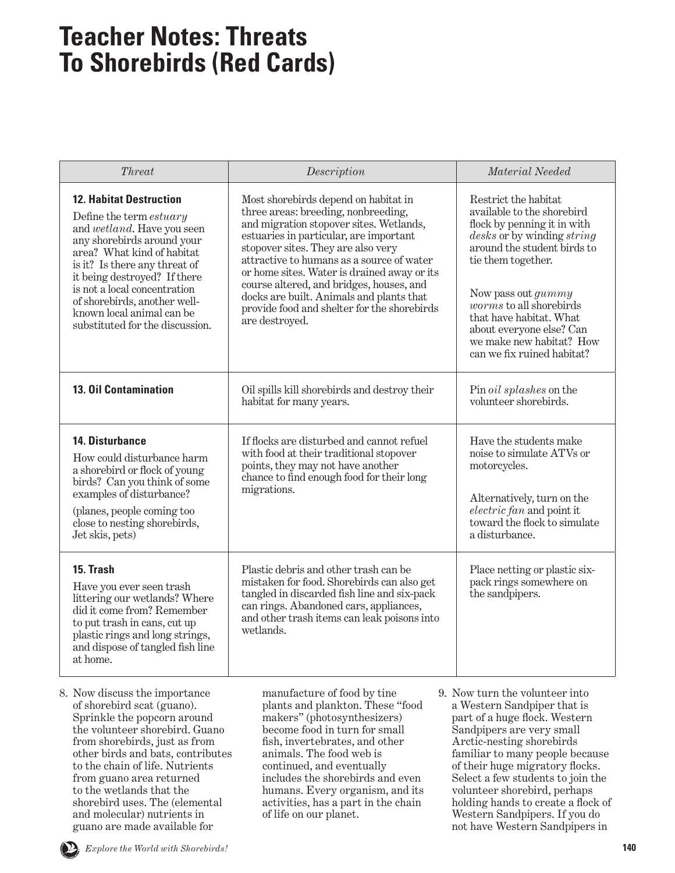## **Teacher Notes: Threats To Shorebirds (Red Cards)**

| Threat                                                                                                                                                                                                                                                                                                                                               | Description                                                                                                                                                                                                                                                                                                                                                                                                                                                 | Material Needed                                                                                                                                                                                                                                                                                                                          |
|------------------------------------------------------------------------------------------------------------------------------------------------------------------------------------------------------------------------------------------------------------------------------------------------------------------------------------------------------|-------------------------------------------------------------------------------------------------------------------------------------------------------------------------------------------------------------------------------------------------------------------------------------------------------------------------------------------------------------------------------------------------------------------------------------------------------------|------------------------------------------------------------------------------------------------------------------------------------------------------------------------------------------------------------------------------------------------------------------------------------------------------------------------------------------|
| <b>12. Habitat Destruction</b><br>Define the term estuary<br>and wetland. Have you seen<br>any shorebirds around your<br>area? What kind of habitat<br>is it? Is there any threat of<br>it being destroyed? If there<br>is not a local concentration<br>of shorebirds, another well-<br>known local animal can be<br>substituted for the discussion. | Most shorebirds depend on habitat in<br>three areas: breeding, nonbreeding,<br>and migration stopover sites. Wetlands,<br>estuaries in particular, are important<br>stopover sites. They are also very<br>attractive to humans as a source of water<br>or home sites. Water is drained away or its<br>course altered, and bridges, houses, and<br>docks are built. Animals and plants that<br>provide food and shelter for the shorebirds<br>are destroyed. | Restrict the habitat<br>available to the shorebird<br>flock by penning it in with<br>desks or by winding string<br>around the student birds to<br>tie them together.<br>Now pass out gummy<br>$worms$ to all shorebirds<br>that have habitat. What<br>about everyone else? Can<br>we make new habitat? How<br>can we fix ruined habitat? |
| <b>13. Oil Contamination</b>                                                                                                                                                                                                                                                                                                                         | Oil spills kill shorebirds and destroy their<br>habitat for many years.                                                                                                                                                                                                                                                                                                                                                                                     | Pin oil splashes on the<br>volunteer shorebirds.                                                                                                                                                                                                                                                                                         |
| <b>14. Disturbance</b><br>How could disturbance harm<br>a shorebird or flock of young<br>birds? Can you think of some<br>examples of disturbance?<br>(planes, people coming too<br>close to nesting shorebirds,<br>Jet skis, pets)                                                                                                                   | If flocks are disturbed and cannot refuel<br>with food at their traditional stopover<br>points, they may not have another<br>chance to find enough food for their long<br>migrations.                                                                                                                                                                                                                                                                       | Have the students make<br>noise to simulate ATVs or<br>motorcycles.<br>Alternatively, turn on the<br>electric fan and point it<br>toward the flock to simulate<br>a disturbance.                                                                                                                                                         |
| 15. Trash<br>Have you ever seen trash<br>littering our wetlands? Where<br>did it come from? Remember<br>to put trash in cans, cut up<br>plastic rings and long strings,<br>and dispose of tangled fish line<br>at home.                                                                                                                              | Plastic debris and other trash can be<br>mistaken for food. Shorebirds can also get<br>tangled in discarded fish line and six-pack<br>can rings. Abandoned cars, appliances,<br>and other trash items can leak poisons into<br>wetlands.                                                                                                                                                                                                                    | Place netting or plastic six-<br>pack rings somewhere on<br>the sandpipers.                                                                                                                                                                                                                                                              |
| 8. Now discuss the importance<br>of shorebird scat (guano).<br>Sprinkle the popcorn around<br>the volunteer shorebird. Guano<br>from shorebirds, just as from                                                                                                                                                                                        | manufacture of food by tine<br>plants and plankton. These "food<br>makers" (photosynthesizers)<br>become food in turn for small<br>fish, invertebrates, and other                                                                                                                                                                                                                                                                                           | 9. Now turn the volunteer into<br>a Western Sandpiper that is<br>part of a huge flock. Western<br>Sandpipers are very small<br>Arctic-nesting shorebirds                                                                                                                                                                                 |

other birds and bats, contributes to the chain of life. Nutrients from guano area returned to the wetlands that the shorebird uses. The (elemental and molecular) nutrients in guano are made available for

animals. The food web is continued, and eventually includes the shorebirds and even humans. Every organism, and its activities, has a part in the chain of life on our planet.

familiar to many people because of their huge migratory flocks. Select a few students to join the volunteer shorebird, perhaps holding hands to create a flock of Western Sandpipers. If you do not have Western Sandpipers in

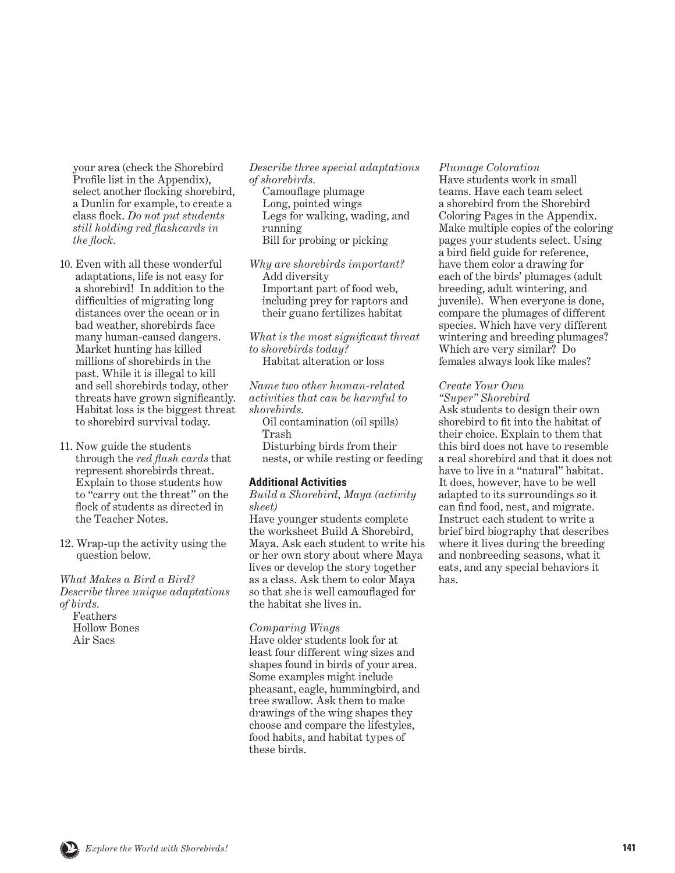your area (check the Shorebird Profile list in the Appendix), select another flocking shorebird, a Dunlin for example, to create a class flock. *Do not put students still holding red flashcards in the flock.*

- 10. Even with all these wonderful adaptations, life is not easy for a shorebird! In addition to the difficulties of migrating long distances over the ocean or in bad weather, shorebirds face many human-caused dangers. Market hunting has killed millions of shorebirds in the past. While it is illegal to kill and sell shorebirds today, other threats have grown significantly. Habitat loss is the biggest threat to shorebird survival today.
- 11. Now guide the students through the *red flash cards* that represent shorebirds threat. Explain to those students how to "carry out the threat" on the flock of students as directed in the Teacher Notes.
- 12. Wrap-up the activity using the question below.

*What Makes a Bird a Bird? Describe three unique adaptations of birds.*

 Feathers Hollow Bones Air Sacs

*Describe three special adaptations of shorebirds.*

 Camouflage plumage Long, pointed wings Legs for walking, wading, and running Bill for probing or picking

*Why are shorebirds important?* Add diversity Important part of food web, including prey for raptors and their guano fertilizes habitat

*What is the most significant threat to shorebirds today?* Habitat alteration or loss

*Name two other human-related activities that can be harmful to shorebirds.*

 Oil contamination (oil spills) Trash

 Disturbing birds from their nests, or while resting or feeding

#### **Additional Activities**

*Build a Shorebird, Maya (activity sheet)*

Have younger students complete the worksheet Build A Shorebird, Maya. Ask each student to write his or her own story about where Maya lives or develop the story together as a class. Ask them to color Maya so that she is well camouflaged for the habitat she lives in.

#### *Comparing Wings*

Have older students look for at least four different wing sizes and shapes found in birds of your area. Some examples might include pheasant, eagle, hummingbird, and tree swallow. Ask them to make drawings of the wing shapes they choose and compare the lifestyles, food habits, and habitat types of these birds.

#### *Plumage Coloration*

Have students work in small teams. Have each team select a shorebird from the Shorebird Coloring Pages in the Appendix. Make multiple copies of the coloring pages your students select. Using a bird field guide for reference, have them color a drawing for each of the birds' plumages (adult breeding, adult wintering, and juvenile). When everyone is done, compare the plumages of different species. Which have very different wintering and breeding plumages? Which are very similar? Do females always look like males?

#### *Create Your Own*

*"Super" Shorebird*

Ask students to design their own shorebird to fit into the habitat of their choice. Explain to them that this bird does not have to resemble a real shorebird and that it does not have to live in a "natural" habitat. It does, however, have to be well adapted to its surroundings so it can find food, nest, and migrate. Instruct each student to write a brief bird biography that describes where it lives during the breeding and nonbreeding seasons, what it eats, and any special behaviors it has.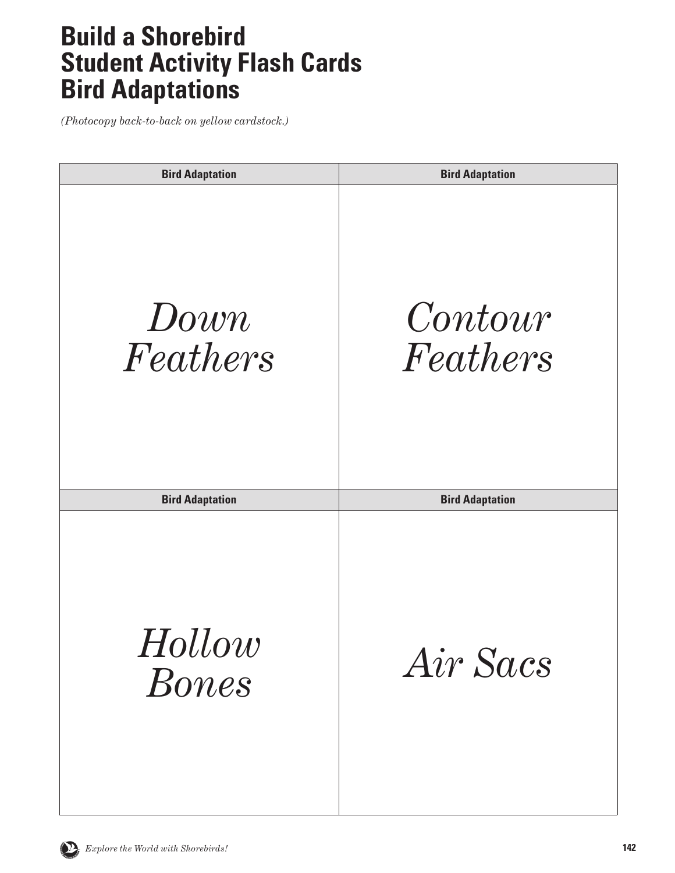## **Build a Shorebird Student Activity Flash Cards Bird Adaptations**

| <b>Bird Adaptation</b> | <b>Bird Adaptation</b> |
|------------------------|------------------------|
| Down<br>Feathers       | Contour<br>Feathers    |
| <b>Bird Adaptation</b> | <b>Bird Adaptation</b> |
| Hollow<br><b>Bones</b> | Air Sacs               |

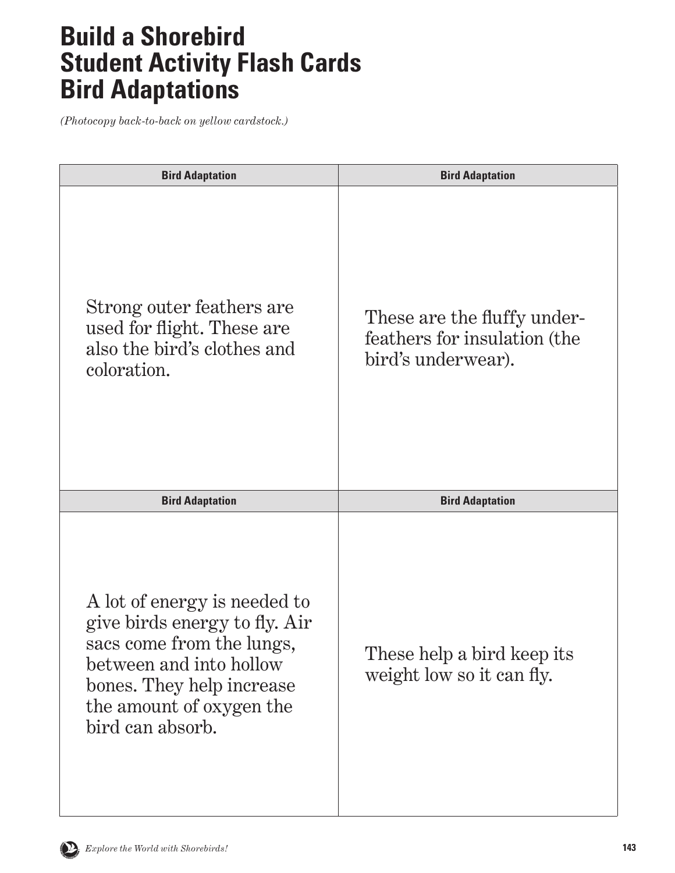## **Build a Shorebird Student Activity Flash Cards Bird Adaptations**

| <b>Bird Adaptation</b>                                                                                                                                                                             | <b>Bird Adaptation</b>                                                            |
|----------------------------------------------------------------------------------------------------------------------------------------------------------------------------------------------------|-----------------------------------------------------------------------------------|
| Strong outer feathers are<br>used for flight. These are<br>also the bird's clothes and<br>coloration.                                                                                              | These are the fluffy under-<br>feathers for insulation (the<br>bird's underwear). |
| <b>Bird Adaptation</b>                                                                                                                                                                             | <b>Bird Adaptation</b>                                                            |
| A lot of energy is needed to<br>give birds energy to fly. Air<br>sacs come from the lungs,<br>between and into hollow<br>bones. They help increase<br>the amount of oxygen the<br>bird can absorb. | These help a bird keep its<br>weight low so it can fly.                           |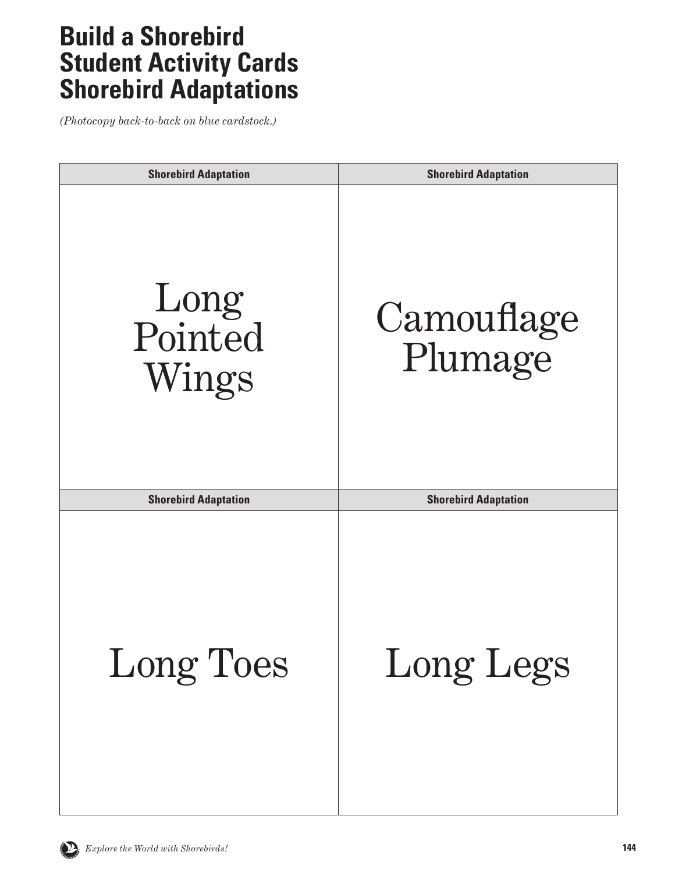| <b>Shorebird Adaptation</b> | <b>Shorebird Adaptation</b> |
|-----------------------------|-----------------------------|
| Long<br>Pointed<br>Wings    | Camouflage<br>Plumage       |
| <b>Shorebird Adaptation</b> | <b>Shorebird Adaptation</b> |
| <b>Long Toes</b>            | Long Legs                   |

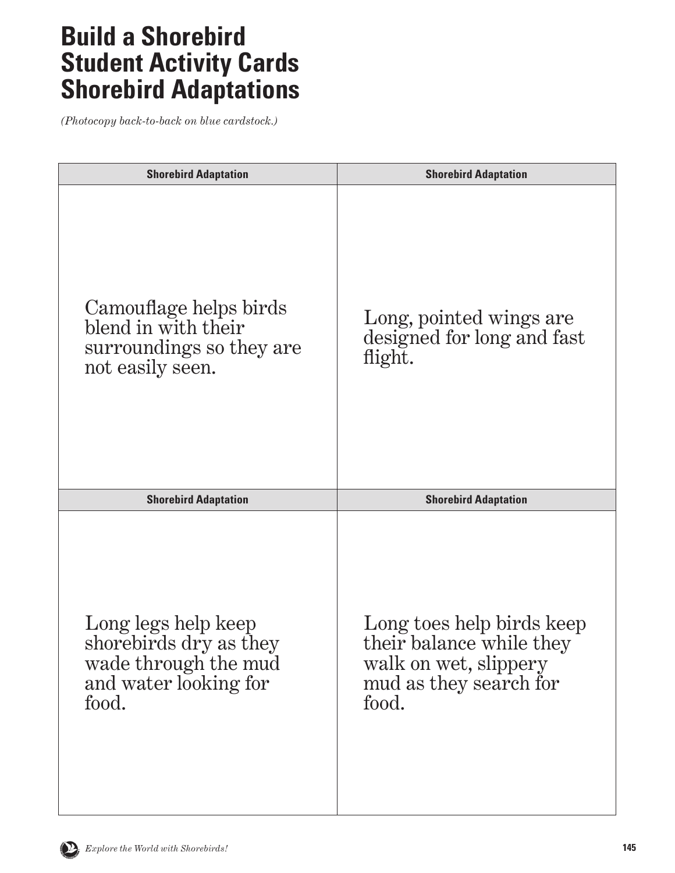| <b>Shorebird Adaptation</b>                                                                             | <b>Shorebird Adaptation</b>                                                                                       |
|---------------------------------------------------------------------------------------------------------|-------------------------------------------------------------------------------------------------------------------|
| Camouflage helps birds<br>blend in with their<br>surroundings so they are<br>not easily seen.           | Long, pointed wings are<br>designed for long and fast<br>flight.                                                  |
| <b>Shorebird Adaptation</b>                                                                             | <b>Shorebird Adaptation</b>                                                                                       |
| Long legs help keep<br>shorebirds dry as they<br>wade through the mud<br>and water looking for<br>food. | Long toes help birds keep<br>their balance while they<br>walk on wet, slippery<br>mud as they search for<br>food. |

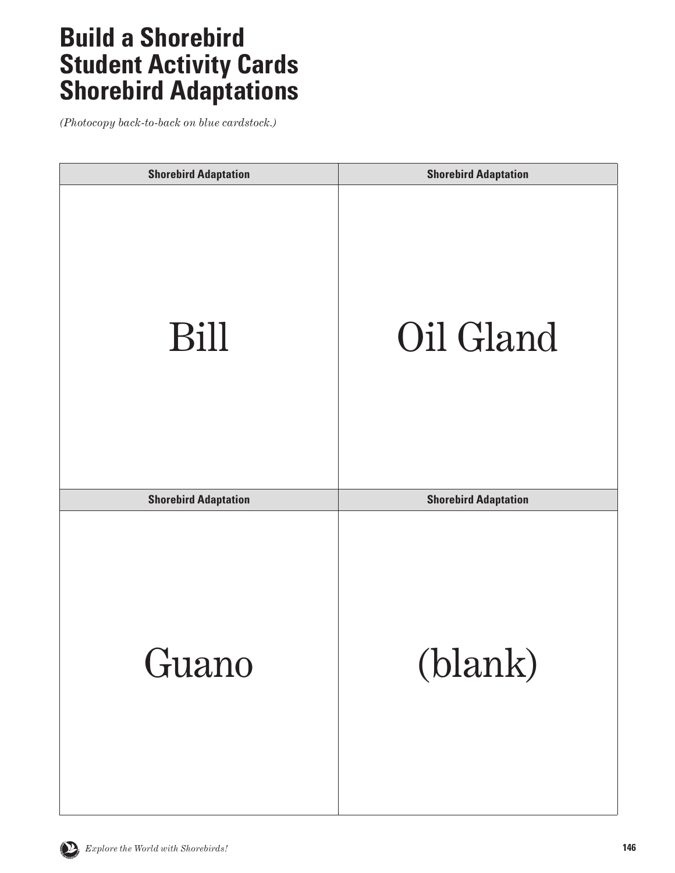| <b>Shorebird Adaptation</b> | <b>Shorebird Adaptation</b> |
|-----------------------------|-----------------------------|
| Bill                        | Oil Gland                   |
| <b>Shorebird Adaptation</b> | <b>Shorebird Adaptation</b> |
| Guano                       | (blank)                     |

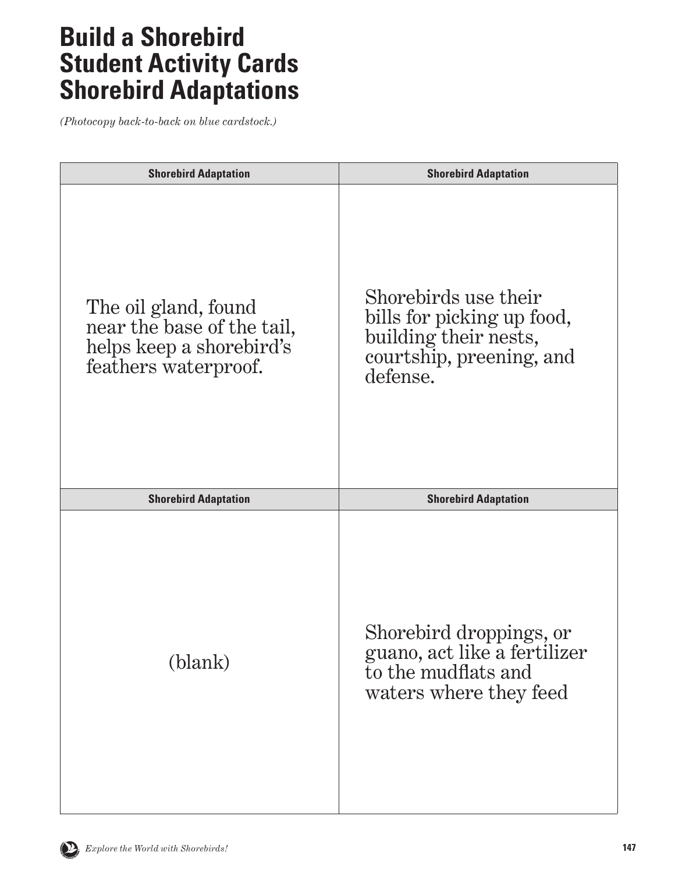| <b>Shorebird Adaptation</b>                                                                            | <b>Shorebird Adaptation</b>                                                                                         |
|--------------------------------------------------------------------------------------------------------|---------------------------------------------------------------------------------------------------------------------|
| The oil gland, found<br>near the base of the tail,<br>helps keep a shorebird's<br>feathers waterproof. | Shorebirds use their<br>bills for picking up food,<br>building their nests,<br>courtship, preening, and<br>defense. |
| <b>Shorebird Adaptation</b>                                                                            | <b>Shorebird Adaptation</b>                                                                                         |
| (blank)                                                                                                | Shorebird droppings, or<br>guano, act like a fertilizer<br>to the mudflats and<br>waters where they feed            |

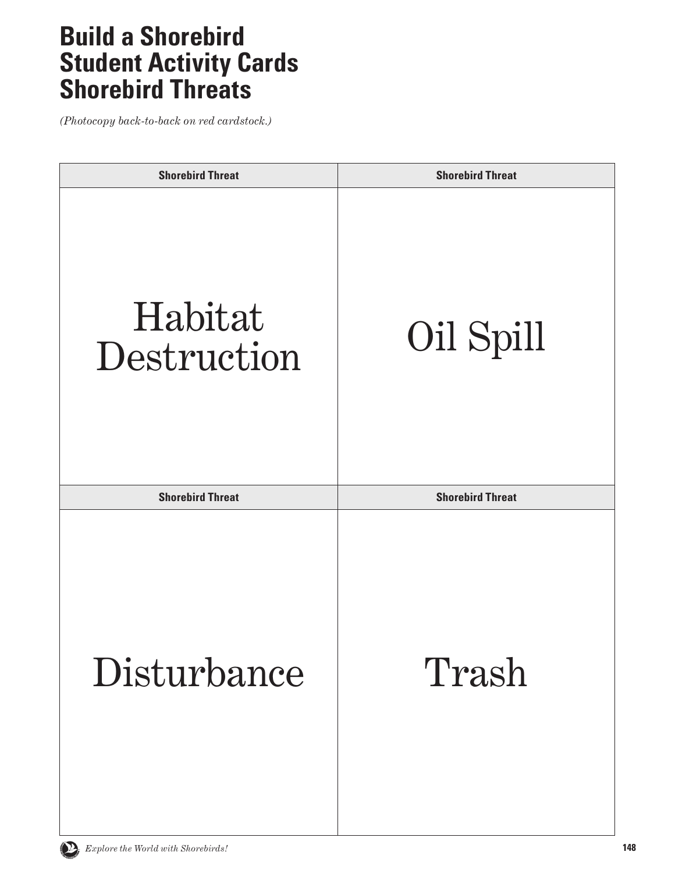## **Build a Shorebird Student Activity Cards Shorebird Threats**

| <b>Shorebird Threat</b> | <b>Shorebird Threat</b> |
|-------------------------|-------------------------|
| Habitat<br>Destruction  | Oil Spill               |
| <b>Shorebird Threat</b> | <b>Shorebird Threat</b> |
| Disturbance             | Trash                   |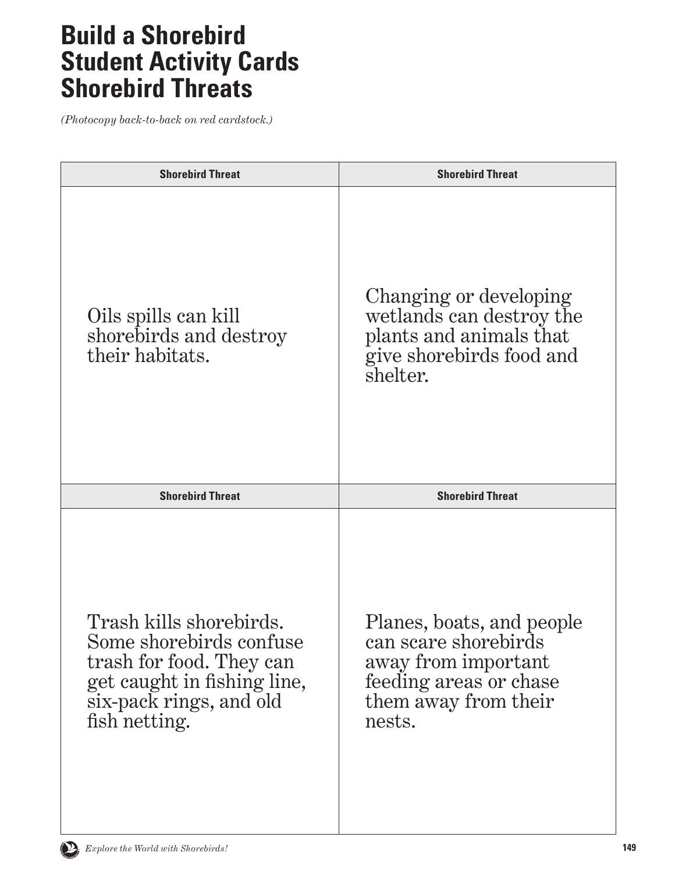## **Build a Shorebird Student Activity Cards Shorebird Threats**

| <b>Shorebird Threat</b>                                                                                                                                   | <b>Shorebird Threat</b>                                                                                                              |
|-----------------------------------------------------------------------------------------------------------------------------------------------------------|--------------------------------------------------------------------------------------------------------------------------------------|
| Oils spills can kill<br>shorebirds and destroy<br>their habitats.                                                                                         | Changing or developing<br>wetlands can destroy the<br>plants and animals that<br>give shore birds food and<br>shelter.               |
| <b>Shorebird Threat</b>                                                                                                                                   | <b>Shorebird Threat</b>                                                                                                              |
| Trash kills shorebirds.<br>Some shorebirds confuse<br>trash for food. They can<br>get caught in fishing line,<br>six-pack rings, and old<br>fish netting. | Planes, boats, and people<br>can scare shorebirds<br>away from important<br>feeding areas or chase<br>them away from their<br>nests. |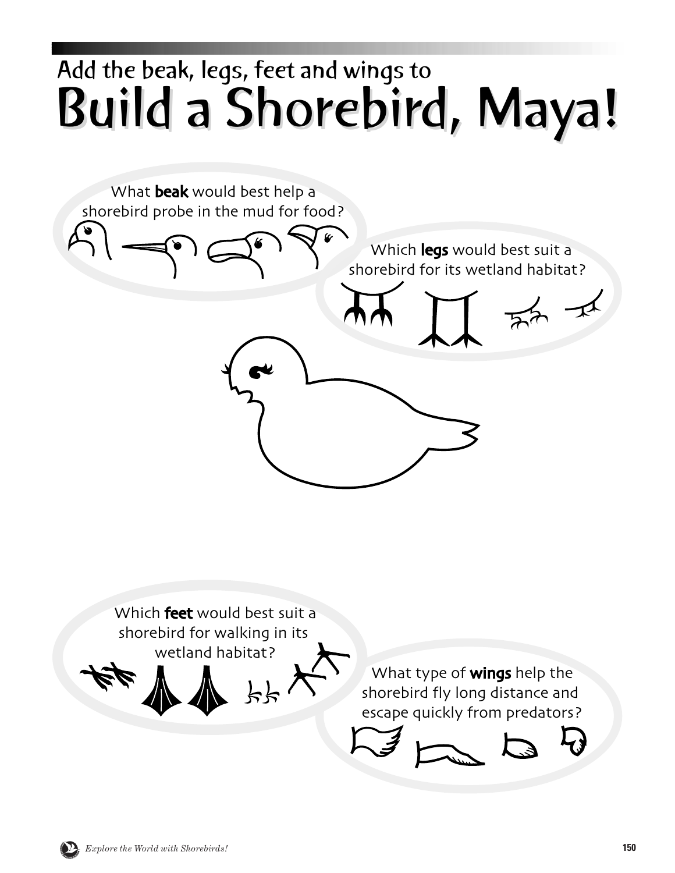## Build a Shorebird, Maya! Build a Shorebird, Maya! Add the beak, legs, feet and wings to